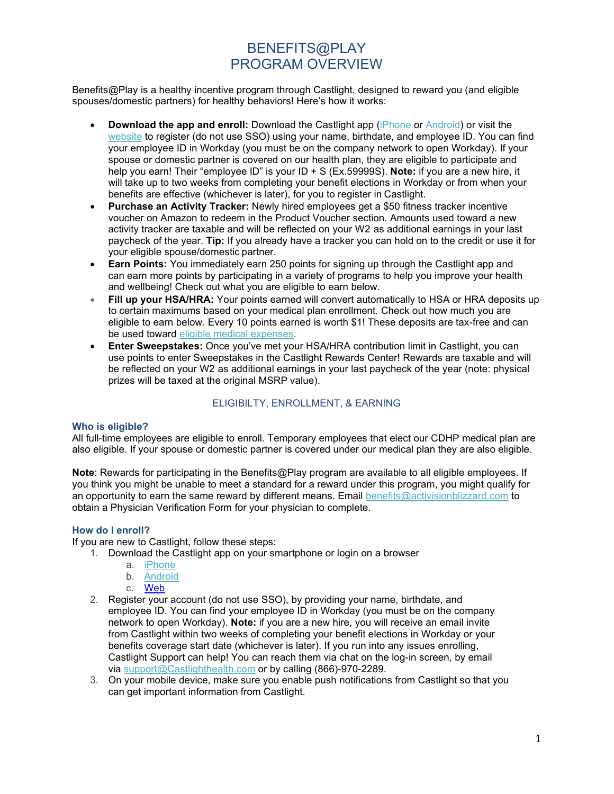# BENEFITS@PLAY PROGRAM OVERVIEW

Benefits@Play is a healthy incentive program through Castlight, designed to reward you (and eligible spouses/domestic partners) for healthy behaviors! Here's how it works:

- **Download the app and enroll:** Download the Castlight app [\(iPhone](https://apps.apple.com/us/app/castlight-mobile/id503468685) or [Android\)](https://play.google.com/store/apps/details?id=com.castlight.clh.view&hl=en_US) or visit th[e](https://us.castlighthealth.com/v2/registration/e/activision_blizzard) [website](https://us.castlighthealth.com/v2/registration/e/activision_blizzard) to register (do not use SSO) using your name, birthdate, and employee ID. You can find your employee ID in Workday (you must be on the company network to open Workday). If your spouse or domestic partner is covered on our health plan, they are eligible to participate and help you earn! Their "employee ID" is your ID + S (Ex.59999S). **Note:** if you are a new hire, it will take up to two weeks from completing your benefit elections in Workday or from when your benefits are effective (whichever is later), for you to register in Castlight.
- **Purchase an Activity Tracker:** Newly hired employees get a \$50 fitness tracker incentive voucher on Amazon to redeem in the Product Voucher section. Amounts used toward a new activity tracker are taxable and will be reflected on your W2 as additional earnings in your last paycheck of the year. **Tip:** If you already have a tracker you can hold on to the credit or use it for your eligible spouse/domestic partner.
- **Earn Points:** You immediately earn 250 points for signing up through the Castlight app and can earn more points by participating in a variety of programs to help you improve your health and wellbeing! Check out what you are eligible to earn below.
- **Fill up your HSA/HRA:** Your points earned will convert automatically to HSA or HRA deposits up to certain maximums based on your medical plan enrollment. Check out how much you are eligible to earn below. Every 10 points earned is worth \$1! These deposits are tax-free and can be used toward [eligible medical](https://www.irs.gov/publications/p502) expenses.
- **Enter Sweepstakes:** Once you've met your HSA/HRA contribution limit in Castlight, you can use points to enter Sweepstakes in the Castlight Rewards Center! Rewards are taxable and will be reflected on your W2 as additional earnings in your last paycheck of the year (note: physical prizes will be taxed at the original MSRP value).

# ELIGIBILTY, ENROLLMENT, & EARNING

#### **Who is eligible?**

All full-time employees are eligible to enroll. Temporary employees that elect our CDHP medical plan are also eligible. If your spouse or domestic partner is covered under our medical plan they are also eligible.

**Note**: Rewards for participating in the Benefits@Play program are available to all eligible employees. If you think you might be unable to meet a standard for a reward under this program, you might qualify for an opportunity to earn the same reward by different means. Email [benefits@activisionblizzard.com](mailto:benefits@activisionblizzard.com) to obtain a Physician Verification Form for your physician to complete.

## **How do I enroll?**

If you are new to Castlight, follow these steps:

- 1. Download the Castlight app on your smartphone or login on a browser
	- a. [iPhone](https://apps.apple.com/us/app/castlight-mobile/id503468685)
	- b. [Android](https://play.google.com/store/apps/details?id=com.castlight.clh.view&hl=en_US)
	- c. [Web](https://us.castlighthealth.com/v2/registration/e/activision_blizzard)
- 2. Register your account (do not use SSO), by providing your name, birthdate, and employee ID. You can find your employee ID in Workday (you must be on the company network to open Workday). **Note:** if you are a new hire, you will receive an email invite from Castlight within two weeks of completing your benefit elections in Workday or your benefits coverage start date (whichever is later). If you run into any issues enrolling, Castlight Support can help! You can reach them via chat on the log-in screen, by email via support@Castlighthealth.com or by calling (866)-970-2289.
- 3. On your mobile device, make sure you enable push notifications from Castlight so that you can get important information from Castlight.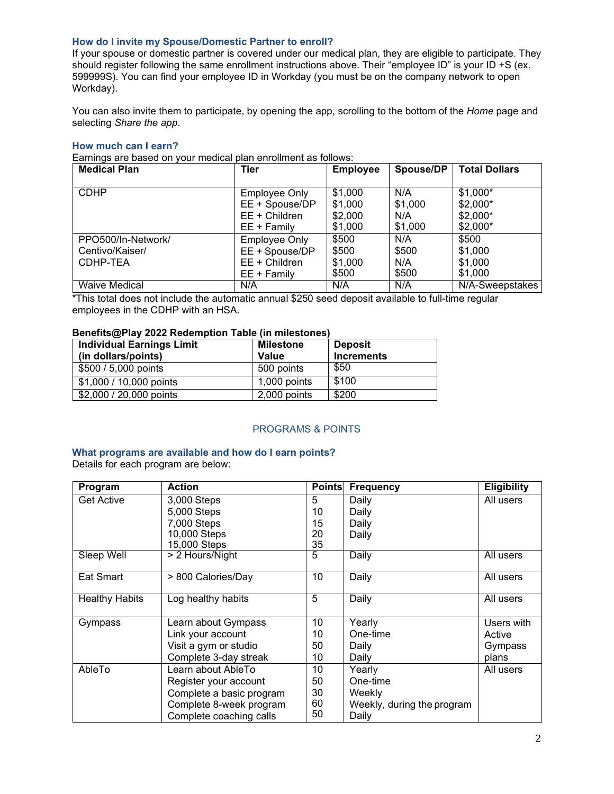### **How do I invite my Spouse/Domestic Partner to enroll?**

If your spouse or domestic partner is covered under our medical plan, they are eligible to participate. They should register following the same enrollment instructions above. Their "employee ID" is your ID +S (ex. 599999S). You can find your employee ID in Workday (you must be on the company network to open Workday).

You can also invite them to participate, by opening the app, scrolling to the bottom of the *Home* page and selecting *Share the app*.

## **How much can I earn?**

Earnings are based on your medical plan enrollment as follows:

| <b>Medical Plan</b>  | <b>Tier</b>          | <b>Employee</b> | Spouse/DP | <b>Total Dollars</b> |
|----------------------|----------------------|-----------------|-----------|----------------------|
|                      |                      |                 |           |                      |
| <b>CDHP</b>          | <b>Employee Only</b> | \$1,000         | N/A       | $$1,000*$            |
|                      | EE + Spouse/DP       | \$1,000         | \$1,000   | $$2,000*$            |
|                      | $EE + Children$      | \$2,000         | N/A       | $$2,000*$            |
|                      | $EE + Family$        | \$1,000         | \$1,000   | $$2,000*$            |
| PPO500/In-Network/   | Employee Only        | \$500           | N/A       | \$500                |
| Centivo/Kaiser/      | EE + Spouse/DP       | \$500           | \$500     | \$1,000              |
| CDHP-TEA             | EE + Children        | \$1,000         | N/A       | \$1,000              |
|                      | EE + Family          | \$500           | \$500     | \$1,000              |
| <b>Waive Medical</b> | N/A                  | N/A             | N/A       | N/A-Sweepstakes      |

\*This total does not include the automatic annual \$250 seed deposit available to full-time regular employees in the CDHP with an HSA.

### **Benefits@Play 2022 Redemption Table (in milestones)**

| <b>Individual Earnings Limit</b><br>(in dollars/points) | <b>Milestone</b><br>Value | <b>Deposit</b><br><b>Increments</b> |
|---------------------------------------------------------|---------------------------|-------------------------------------|
| \$500 / 5,000 points                                    | 500 points                | \$50                                |
| \$1,000 / 10,000 points                                 | $1,000$ points            | \$100                               |
| \$2,000 / 20,000 points                                 | $2,000$ points            | \$200                               |

## PROGRAMS & POINTS

# **What programs are available and how do I earn points?**

Details for each program are below:

| Program               | <b>Action</b>            | <b>Points</b> | <b>Frequency</b>           | <b>Eligibility</b> |
|-----------------------|--------------------------|---------------|----------------------------|--------------------|
| <b>Get Active</b>     | 3,000 Steps              | 5             | Daily                      | All users          |
|                       | 5,000 Steps              | 10            | Daily                      |                    |
|                       | 7,000 Steps              | 15            | Daily                      |                    |
|                       | 10,000 Steps             | 20            | Daily                      |                    |
|                       | 15,000 Steps             | 35            |                            |                    |
| <b>Sleep Well</b>     | > 2 Hours/Night          | 5             | Daily                      | All users          |
|                       |                          |               |                            |                    |
| Eat Smart             | > 800 Calories/Day       | 10            | Daily                      | All users          |
|                       |                          |               |                            |                    |
| <b>Healthy Habits</b> | Log healthy habits       | 5             | Daily                      | All users          |
|                       |                          |               |                            |                    |
| Gympass               | Learn about Gympass      | 10            | Yearly                     | Users with         |
|                       | Link your account        | 10            | One-time                   | Active             |
|                       | Visit a gym or studio    | 50            | Daily                      | Gympass            |
|                       | Complete 3-day streak    | 10            | Daily                      | plans              |
| AbleTo                | Learn about AbleTo       | 10            | Yearly                     | All users          |
|                       | Register your account    | 50            | One-time                   |                    |
|                       | Complete a basic program | 30            | Weekly                     |                    |
|                       | Complete 8-week program  | 60            | Weekly, during the program |                    |
|                       | Complete coaching calls  | 50            | Daily                      |                    |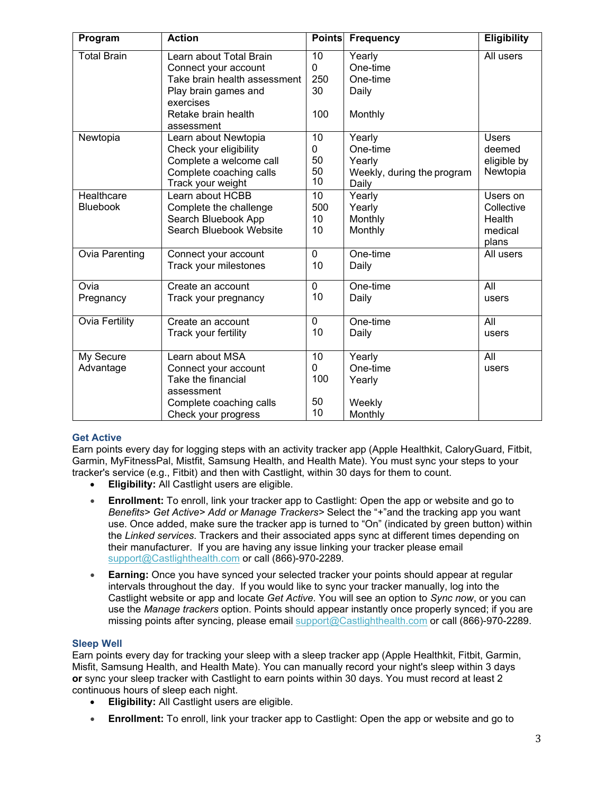| Program               | <b>Action</b>                | <b>Points</b>  | <b>Frequency</b>           | <b>Eligibility</b> |
|-----------------------|------------------------------|----------------|----------------------------|--------------------|
| <b>Total Brain</b>    | Learn about Total Brain      | 10             | Yearly                     | All users          |
|                       | Connect your account         | 0              | One-time                   |                    |
|                       | Take brain health assessment | 250            | One-time                   |                    |
|                       | Play brain games and         | 30             | Daily                      |                    |
|                       | exercises                    |                |                            |                    |
|                       | Retake brain health          | 100            | Monthly                    |                    |
|                       | assessment                   |                |                            |                    |
| Newtopia              | Learn about Newtopia         | 10             | Yearly                     | <b>Users</b>       |
|                       | Check your eligibility       | $\Omega$       | One-time                   | deemed             |
|                       | Complete a welcome call      | 50             | Yearly                     | eligible by        |
|                       | Complete coaching calls      | 50<br>10       | Weekly, during the program | Newtopia           |
|                       | Track your weight            |                | Daily                      |                    |
| Healthcare            | Learn about HCBB             | 10             | Yearly                     | Users on           |
| <b>Bluebook</b>       | Complete the challenge       | 500            | Yearly                     | Collective         |
|                       | Search Bluebook App          | 10             | Monthly                    | Health             |
|                       | Search Bluebook Website      | 10             | Monthly                    | medical            |
|                       |                              | $\mathbf 0$    | One-time                   | plans<br>All users |
| <b>Ovia Parenting</b> | Connect your account         |                |                            |                    |
|                       | Track your milestones        | 10             | Daily                      |                    |
| Ovia                  | Create an account            | $\overline{0}$ | One-time                   | All                |
| Pregnancy             | Track your pregnancy         | 10             | Daily                      | users              |
|                       |                              |                |                            |                    |
| Ovia Fertility        | Create an account            | $\mathbf 0$    | One-time                   | All                |
|                       | Track your fertility         | 10             | Daily                      | users              |
|                       |                              |                |                            |                    |
| My Secure             | Learn about MSA              | 10             | Yearly                     | All                |
| Advantage             | Connect your account         | $\Omega$       | One-time                   | users              |
|                       | Take the financial           | 100            | Yearly                     |                    |
|                       | assessment                   |                |                            |                    |
|                       | Complete coaching calls      | 50             | Weekly                     |                    |
|                       | Check your progress          | 10             | Monthly                    |                    |

# **Get Active**

Earn points every day for logging steps with an activity tracker app (Apple Healthkit, CaloryGuard, Fitbit, Garmin, MyFitnessPal, Mistfit, Samsung Health, and Health Mate). You must sync your steps to your tracker's service (e.g., Fitbit) and then with Castlight, within 30 days for them to count.

- **Eligibility:** All Castlight users are eligible.
- **Enrollment:** To enroll, link your tracker app to Castlight: Open the app or website and go to *Benefits> Get Active> Add or Manage Trackers>* Select the "+"and the tracking app you want use. Once added, make sure the tracker app is turned to "On" (indicated by green button) within the *Linked services.* Trackers and their associated apps sync at different times depending on their manufacturer. If you are having any issue linking your tracker please email [support@Castlighthealth.com](mailto:support@Castlighthealth.com) or call (866)-970-2289.
- **Earning:** Once you have synced your selected tracker your points should appear at regular intervals throughout the day. If you would like to sync your tracker manually, log into the Castlight website or app and locate *Get Active.* You will see an option to *Sync now*, or you can use the *Manage trackers* option. Points should appear instantly once properly synced; if you are missing points after syncing, please email [support@Castlighthealth.com](mailto:support@Castlighthealth.com) or call (866)-970-2289.

## **Sleep Well**

Earn points every day for tracking your sleep with a sleep tracker app (Apple Healthkit, Fitbit, Garmin, Misfit, Samsung Health, and Health Mate). You can manually record your night's sleep within 3 days **or** sync your sleep tracker with Castlight to earn points within 30 days. You must record at least 2 continuous hours of sleep each night.

- **Eligibility:** All Castlight users are eligible.
- **Enrollment:** To enroll, link your tracker app to Castlight: Open the app or website and go to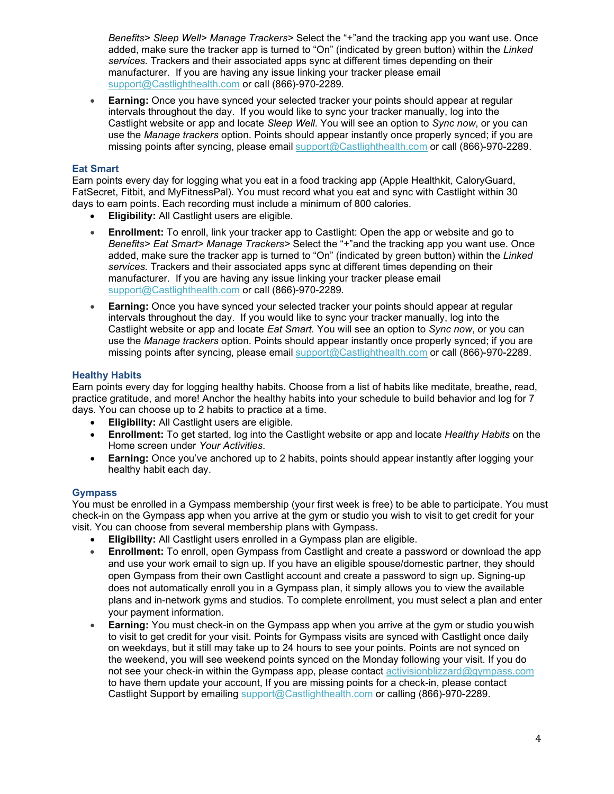*Benefits> Sleep Well> Manage Trackers>* Select the "+"and the tracking app you want use. Once added, make sure the tracker app is turned to "On" (indicated by green button) within the *Linked services.* Trackers and their associated apps sync at different times depending on their manufacturer. If you are having any issue linking your tracker please email [support@Castlighthealth.com](mailto:support@Castlighthealth.com) or call (866)-970-2289.

• **Earning:** Once you have synced your selected tracker your points should appear at regular intervals throughout the day. If you would like to sync your tracker manually, log into the Castlight website or app and locate *Sleep Well.* You will see an option to *Sync now*, or you can use the *Manage trackers* option. Points should appear instantly once properly synced; if you are missing points after syncing, please email [support@Castlighthealth.com](mailto:support@Castlighthealth.com) or call (866)-970-2289.

### **Eat Smart**

Earn points every day for logging what you eat in a food tracking app (Apple Healthkit, CaloryGuard, FatSecret, Fitbit, and MyFitnessPal). You must record what you eat and sync with Castlight within 30 days to earn points. Each recording must include a minimum of 800 calories.

- **Eligibility:** All Castlight users are eligible.
- **Enrollment:** To enroll, link your tracker app to Castlight: Open the app or website and go to *Benefits> Eat Smart> Manage Trackers>* Select the "+"and the tracking app you want use. Once added, make sure the tracker app is turned to "On" (indicated by green button) within the *Linked services.* Trackers and their associated apps sync at different times depending on their manufacturer. If you are having any issue linking your tracker please email [support@Castlighthealth.com](mailto:support@Castlighthealth.com) or call (866)-970-2289.
- **Earning:** Once you have synced your selected tracker your points should appear at regular intervals throughout the day. If you would like to sync your tracker manually, log into the Castlight website or app and locate *Eat Smart.* You will see an option to *Sync now*, or you can use the *Manage trackers* option. Points should appear instantly once properly synced; if you are missing points after syncing, please email [support@Castlighthealth.com](mailto:support@Castlighthealth.com) or call (866)-970-2289.

#### **Healthy Habits**

Earn points every day for logging healthy habits. Choose from a list of habits like meditate, breathe, read, practice gratitude, and more! Anchor the healthy habits into your schedule to build behavior and log for 7 days. You can choose up to 2 habits to practice at a time.

- **Eligibility:** All Castlight users are eligible.
- **Enrollment:** To get started, log into the Castlight website or app and locate *Healthy Habits* on the Home screen under *Your Activities*.
- **Earning:** Once you've anchored up to 2 habits, points should appear instantly after logging your healthy habit each day.

#### **Gympass**

You must be enrolled in a Gympass membership (your first week is free) to be able to participate. You must check-in on the Gympass app when you arrive at the gym or studio you wish to visit to get credit for your visit. You can choose from several membership plans with Gympass.

- **Eligibility:** All Castlight users enrolled in a Gympass plan are eligible.
- **Enrollment:** To enroll, open Gympass from Castlight and create a password or download the app and use your work email to sign up. If you have an eligible spouse/domestic partner, they should open Gympass from their own Castlight account and create a password to sign up. Signing-up does not automatically enroll you in a Gympass plan, it simply allows you to view the available plans and in-network gyms and studios. To complete enrollment, you must select a plan and enter your payment information.
- **Earning:** You must check-in on the Gympass app when you arrive at the gym or studio youwish to visit to get credit for your visit. Points for Gympass visits are synced with Castlight once daily on weekdays, but it still may take up to 24 hours to see your points. Points are not synced on the weekend, you will see weekend points synced on the Monday following your visit. If you do not see your check-in within the Gympass app, please contact [activisionblizzard@gympass.com](mailto:activisionblizzard@gympass.com) to have them update your account, If you are missing points for a check-in, please contact Castlight Support by emailing [support@Castlighthealth.com](mailto:support@Castlighthealth.com) or calling (866)-970-2289.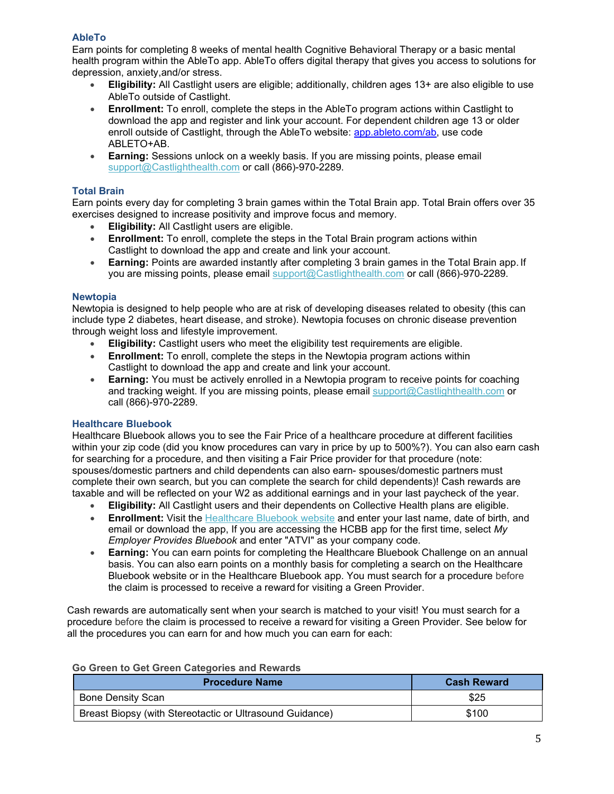## **AbleTo**

Earn points for completing 8 weeks of mental health Cognitive Behavioral Therapy or a basic mental health program within the AbleTo app. AbleTo offers digital therapy that gives you access to solutions for depression, anxiety,and/or stress.

- **Eligibility:** All Castlight users are eligible; additionally, children ages 13+ are also eligible to use AbleTo outside of Castlight.
- **Enrollment:** To enroll, complete the steps in the AbleTo program actions within Castlight to download the app and register and link your account. For dependent children age 13 or older enroll outside of Castlight, through the AbleTo website: [app.ableto.com/ab,](https://urldefense.proofpoint.com/v2/url?u=http-3A__app.ableto.com_ab&d=DwMFaQ&c=qE8EibqjfXM-zBfebVhd4gtjNZbrDcrKYXvb1gt38s4&r=b9qmvt5O0Ovw5fO1CPCh4-ifu9MrdaNi1KKe_A2DzQs&m=YYvfg2JeWaJkcKigJCrhPbMuECC4M_mDKC43V4BSUC8&s=qws2yxJoiq6iB49SAy1rk11xeeudKtjf6cMgjSN1LL4&e=) use code ABLETO+AB.
- **Earning:** Sessions unlock on a weekly basis. If you are missing points, please email [support@Castlighthealth.com](mailto:support@Castlighthealth.com) or call (866)-970-2289.

## **Total Brain**

Earn points every day for completing 3 brain games within the Total Brain app. Total Brain offers over 35 exercises designed to increase positivity and improve focus and memory.

- **Eligibility:** All Castlight users are eligible.
- **Enrollment:** To enroll, complete the steps in the Total Brain program actions within Castlight to download the app and create and link your account.
- **Earning:** Points are awarded instantly after completing 3 brain games in the Total Brain app. If you are missing points, please email **support@Castlighthealth.com** or call (866)-970-2289.

#### **Newtopia**

Newtopia is designed to help people who are at risk of developing diseases related to obesity (this can include type 2 diabetes, heart disease, and stroke). Newtopia focuses on chronic disease prevention through weight loss and lifestyle improvement.

- **Eligibility:** Castlight users who meet the eligibility test requirements are eligible.
- **Enrollment:** To enroll, complete the steps in the Newtopia program actions within Castlight to download the app and create and link your account.
- **Earning:** You must be actively enrolled in a Newtopia program to receive points for coaching and tracking weight. If you are missing points, please email [support@Castlighthealth.com](mailto:support@Castlighthealth.com) or call (866)-970-2289.

#### **Healthcare Bluebook**

Healthcare Bluebook allows you to see the Fair Price of a healthcare procedure at different facilities within your zip code (did you know procedures can vary in price by up to 500%?). You can also earn cash for searching for a procedure, and then visiting a Fair Price provider for that procedure (note: spouses/domestic partners and child dependents can also earn- spouses/domestic partners must complete their own search, but you can complete the search for child dependents)! Cash rewards are taxable and will be reflected on your W2 as additional earnings and in your last paycheck of the year.

- **Eligibility:** All Castlight users and their dependents on Collective Health plans are eligible.
- **Enrollment:** Visit the [Healthcare Bluebook website](https://www.healthcarebluebook.com/ui/home?path=direct) and enter your last name, date of birth, and email or download the app, If you are accessing the HCBB app for the first time, select *My Employer Provides Bluebook* and enter "ATVI" as your company code.
- **Earning:** You can earn points for completing the Healthcare Bluebook Challenge on an annual basis. You can also earn points on a monthly basis for completing a search on the Healthcare Bluebook website or in the Healthcare Bluebook app. You must search for a procedure before the claim is processed to receive a reward for visiting a Green Provider.

Cash rewards are automatically sent when your search is matched to your visit! You must search for a procedure before the claim is processed to receive a reward for visiting a Green Provider. See below for all the procedures you can earn for and how much you can earn for each:

| <b>Procedure Name</b>                                    | <b>Cash Reward</b> |
|----------------------------------------------------------|--------------------|
| <b>Bone Density Scan</b>                                 | \$25               |
| Breast Biopsy (with Stereotactic or Ultrasound Guidance) | \$100              |

### **Go Green to Get Green Categories and Rewards**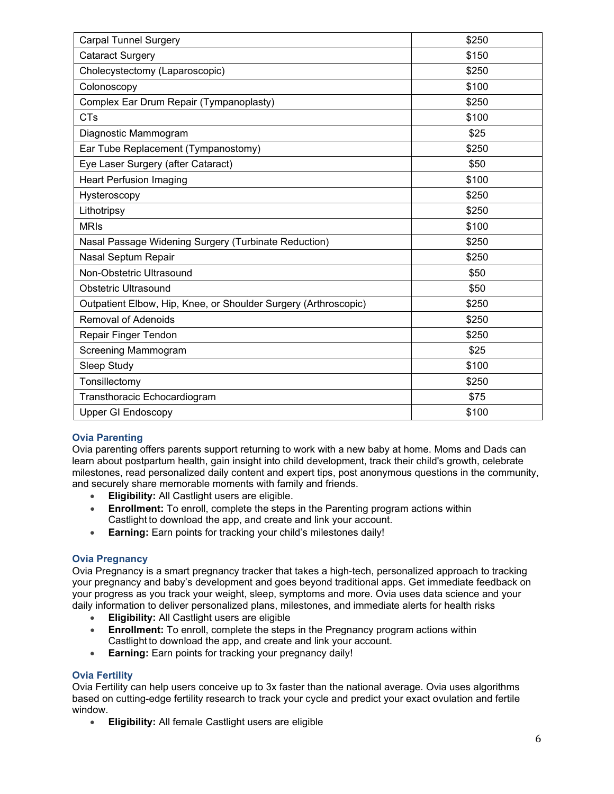| <b>Carpal Tunnel Surgery</b>                                    | \$250 |
|-----------------------------------------------------------------|-------|
| <b>Cataract Surgery</b>                                         | \$150 |
| Cholecystectomy (Laparoscopic)                                  | \$250 |
| Colonoscopy                                                     | \$100 |
| Complex Ear Drum Repair (Tympanoplasty)                         | \$250 |
| <b>CTs</b>                                                      | \$100 |
| Diagnostic Mammogram                                            | \$25  |
| Ear Tube Replacement (Tympanostomy)                             | \$250 |
| Eye Laser Surgery (after Cataract)                              | \$50  |
| <b>Heart Perfusion Imaging</b>                                  | \$100 |
| Hysteroscopy                                                    | \$250 |
| Lithotripsy                                                     | \$250 |
| <b>MRIs</b>                                                     | \$100 |
| Nasal Passage Widening Surgery (Turbinate Reduction)            | \$250 |
| Nasal Septum Repair                                             | \$250 |
| Non-Obstetric Ultrasound                                        | \$50  |
| <b>Obstetric Ultrasound</b>                                     | \$50  |
| Outpatient Elbow, Hip, Knee, or Shoulder Surgery (Arthroscopic) | \$250 |
| <b>Removal of Adenoids</b>                                      | \$250 |
| Repair Finger Tendon                                            | \$250 |
| Screening Mammogram                                             | \$25  |
| Sleep Study                                                     | \$100 |
| Tonsillectomy                                                   | \$250 |
| Transthoracic Echocardiogram                                    | \$75  |
| <b>Upper GI Endoscopy</b>                                       | \$100 |

## **Ovia Parenting**

Ovia parenting offers parents support returning to work with a new baby at home. Moms and Dads can learn about postpartum health, gain insight into child development, track their child's growth, celebrate milestones, read personalized daily content and expert tips, post anonymous questions in the community, and securely share memorable moments with family and friends.

- **Eligibility:** All Castlight users are eligible.
- **Enrollment:** To enroll, complete the steps in the Parenting program actions within Castlight to download the app, and create and link your account.
- **Earning:** Earn points for tracking your child's milestones daily!

## **Ovia Pregnancy**

Ovia Pregnancy is a smart pregnancy tracker that takes a high-tech, personalized approach to tracking your pregnancy and baby's development and goes beyond traditional apps. Get immediate feedback on your progress as you track your weight, sleep, symptoms and more. Ovia uses data science and your daily information to deliver personalized plans, milestones, and immediate alerts for health risks

- **Eligibility:** All Castlight users are eligible
- **Enrollment:** To enroll, complete the steps in the Pregnancy program actions within Castlight to download the app, and create and link your account.
- **Earning:** Earn points for tracking your pregnancy daily!

#### **Ovia Fertility**

Ovia Fertility can help users conceive up to 3x faster than the national average. Ovia uses algorithms based on cutting-edge fertility research to track your cycle and predict your exact ovulation and fertile window.

• **Eligibility:** All female Castlight users are eligible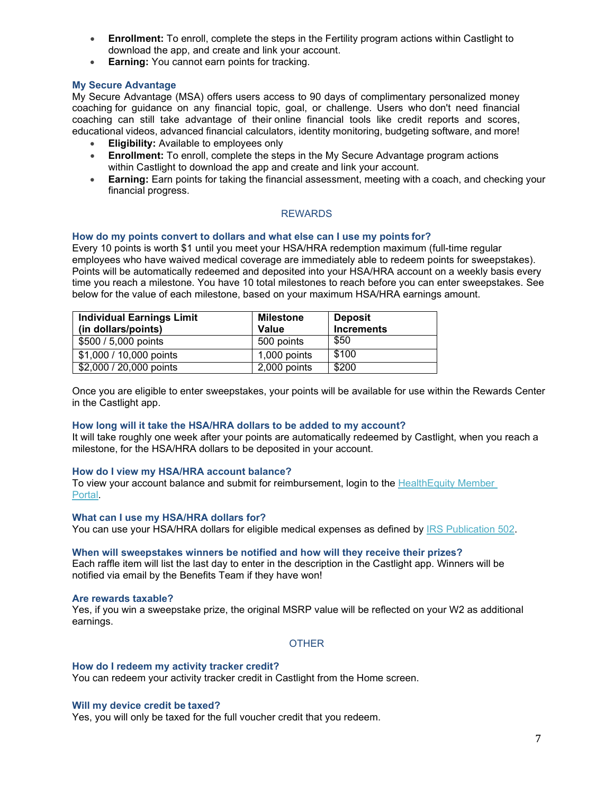- **Enrollment:** To enroll, complete the steps in the Fertility program actions within Castlight to download the app, and create and link your account.
- **Earning:** You cannot earn points for tracking.

### **My Secure Advantage**

My Secure Advantage (MSA) offers users access to 90 days of complimentary personalized money coaching for guidance on any financial topic, goal, or challenge. Users who don't need financial coaching can still take advantage of their online financial tools like credit reports and scores, educational videos, advanced financial calculators, identity monitoring, budgeting software, and more!

- **Eligibility:** Available to employees only
- **Enrollment:** To enroll, complete the steps in the My Secure Advantage program actions within Castlight to download the app and create and link your account.
- **Earning:** Earn points for taking the financial assessment, meeting with a coach, and checking your financial progress.

#### REWARDS

#### **How do my points convert to dollars and what else can I use my points for?**

Every 10 points is worth \$1 until you meet your HSA/HRA redemption maximum (full-time regular employees who have waived medical coverage are immediately able to redeem points for sweepstakes). Points will be automatically redeemed and deposited into your HSA/HRA account on a weekly basis every time you reach a milestone. You have 10 total milestones to reach before you can enter sweepstakes. See below for the value of each milestone, based on your maximum HSA/HRA earnings amount.

| <b>Individual Earnings Limit</b><br>(in dollars/points) | <b>Milestone</b><br>Value | <b>Deposit</b><br><b>Increments</b> |
|---------------------------------------------------------|---------------------------|-------------------------------------|
| \$500 / 5,000 points                                    | 500 points                | \$50                                |
| \$1,000 / 10,000 points                                 | 1,000 points              | \$100                               |
| \$2,000 / 20,000 points                                 | 2,000 points              | \$200                               |

Once you are eligible to enter sweepstakes, your points will be available for use within the Rewards Center in the Castlight app.

#### **How long will it take the HSA/HRA dollars to be added to my account?**

It will take roughly one week after your points are automatically redeemed by Castlight, when you reach a milestone, for the HSA/HRA dollars to be deposited in your account.

#### **How do I view my HSA/HRA account balance?**

To view your account balance and submit for reimbursement, login to the [HealthEquity Member](http://www.healthequity.com/)  [Portal.](http://www.healthequity.com/)

#### **What can I use my HSA/HRA dollars for?**

You can use your HSA/HRA dollars for eligible medical expenses as defined by [IRS Publication 502.](https://www.irs.gov/publications/p502)

#### **When will sweepstakes winners be notified and how will they receive their prizes?**

Each raffle item will list the last day to enter in the description in the Castlight app. Winners will be notified via email by the Benefits Team if they have won!

#### **Are rewards taxable?**

Yes, if you win a sweepstake prize, the original MSRP value will be reflected on your W2 as additional earnings.

#### **OTHER**

#### **How do I redeem my activity tracker credit?**

You can redeem your activity tracker credit in Castlight from the Home screen.

#### **Will my device credit be taxed?**

Yes, you will only be taxed for the full voucher credit that you redeem.